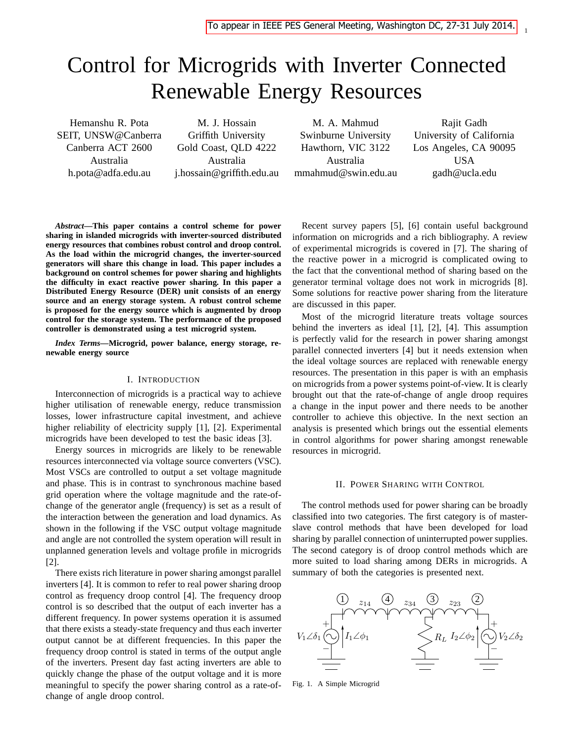# Control for Microgrids with Inverter Connected Renewable Energy Resources

Hemanshu R. Pota SEIT, UNSW@Canberra Canberra ACT 2600 Australia h.pota@adfa.edu.au

M. J. Hossain Griffith University Gold Coast, QLD 4222 Australia j.hossain@griffith.edu.au

M. A. Mahmud Swinburne University Hawthorn, VIC 3122 Australia mmahmud@swin.edu.au

Rajit Gadh University of California Los Angeles, CA 90095 USA gadh@ucla.edu

1

*Abstract***—This paper contains a control scheme for power sharing in islanded microgrids with inverter-sourced distributed energy resources that combines robust control and droop control. As the load within the microgrid changes, the inverter-sourced generators will share this change in load. This paper includes a background on control schemes for power sharing and highlights the difficulty in exact reactive power sharing. In this paper a Distributed Energy Resource (DER) unit consists of an energy source and an energy storage system. A robust control scheme is proposed for the energy source which is augmented by droop control for the storage system. The performance of the proposed controller is demonstrated using a test microgrid system.**

*Index Terms***—Microgrid, power balance, energy storage, renewable energy source**

## I. INTRODUCTION

Interconnection of microgrids is a practical way to achieve higher utilisation of renewable energy, reduce transmission losses, lower infrastructure capital investment, and achieve higher reliability of electricity supply [1], [2]. Experimental microgrids have been developed to test the basic ideas [3].

Energy sources in microgrids are likely to be renewable resources interconnected via voltage source converters (VSC). Most VSCs are controlled to output a set voltage magnitude and phase. This is in contrast to synchronous machine based grid operation where the voltage magnitude and the rate-ofchange of the generator angle (frequency) is set as a result of the interaction between the generation and load dynamics. As shown in the following if the VSC output voltage magnitude and angle are not controlled the system operation will result in unplanned generation levels and voltage profile in microgrids [2].

There exists rich literature in power sharing amongst parallel inverters [4]. It is common to refer to real power sharing droop control as frequency droop control [4]. The frequency droop control is so described that the output of each inverter has a different frequency. In power systems operation it is assumed that there exists a steady-state frequency and thus each inverter output cannot be at different frequencies. In this paper the frequency droop control is stated in terms of the output angle of the inverters. Present day fast acting inverters are able to quickly change the phase of the output voltage and it is more meaningful to specify the power sharing control as a rate-ofchange of angle droop control.

Recent survey papers [5], [6] contain useful background information on microgrids and a rich bibliography. A review of experimental microgrids is covered in [7]. The sharing of the reactive power in a microgrid is complicated owing to the fact that the conventional method of sharing based on the generator terminal voltage does not work in microgrids [8]. Some solutions for reactive power sharing from the literature are discussed in this paper.

Most of the microgrid literature treats voltage sources behind the inverters as ideal [1], [2], [4]. This assumption is perfectly valid for the research in power sharing amongst parallel connected inverters [4] but it needs extension when the ideal voltage sources are replaced with renewable energy resources. The presentation in this paper is with an emphasis on microgrids from a power systems point-of-view. It is clearly brought out that the rate-of-change of angle droop requires a change in the input power and there needs to be another controller to achieve this objective. In the next section an analysis is presented which brings out the essential elements in control algorithms for power sharing amongst renewable resources in microgrid.

### II. POWER SHARING WITH CONTROL

The control methods used for power sharing can be broadly classified into two categories. The first category is of masterslave control methods that have been developed for load sharing by parallel connection of uninterrupted power supplies. The second category is of droop control methods which are more suited to load sharing among DERs in microgrids. A summary of both the categories is presented next.



Fig. 1. A Simple Microgrid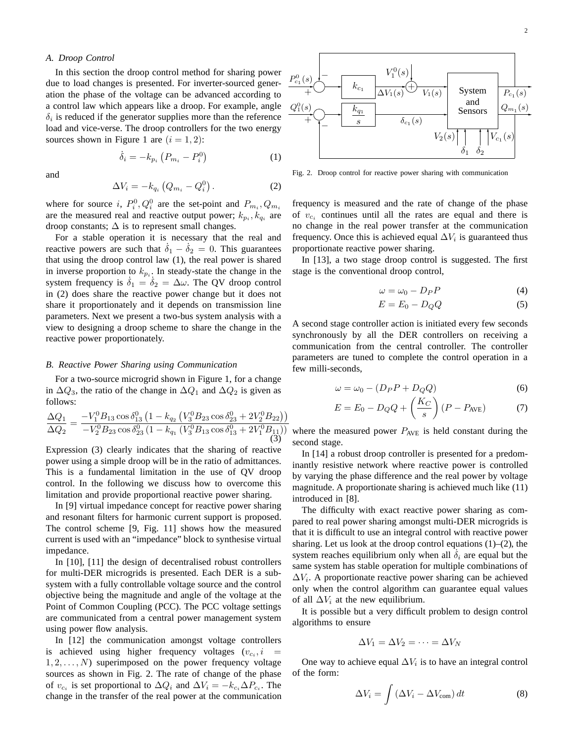#### *A. Droop Control*

In this section the droop control method for sharing power due to load changes is presented. For inverter-sourced generation the phase of the voltage can be advanced according to a control law which appears like a droop. For example, angle  $\delta_i$  is reduced if the generator supplies more than the reference load and vice-verse. The droop controllers for the two energy sources shown in Figure 1 are  $(i = 1, 2)$ :

$$
\dot{\delta}_i = -k_{p_i} \left( P_{m_i} - P_i^0 \right) \tag{1}
$$

and

$$
\Delta V_i = -k_{q_i} \left( Q_{m_i} - Q_i^0 \right). \tag{2}
$$

where for source i,  $P_i^0$ ,  $Q_i^0$  are the set-point and  $P_{m_i}$ ,  $Q_{m_i}$ are the measured real and reactive output power;  $k_{p_i}$ ,  $k_{q_i}$  are droop constants;  $\Delta$  is to represent small changes.

For a stable operation it is necessary that the real and reactive powers are such that  $\delta_1 - \delta_2 = 0$ . This guarantees that using the droop control law (1), the real power is shared in inverse proportion to  $k_{p_i}$ . In steady-state the change in the system frequency is  $\dot{\delta}_1 = \dot{\delta}_2 = \Delta \omega$ . The QV droop control in (2) does share the reactive power change but it does not share it proportionately and it depends on transmission line parameters. Next we present a two-bus system analysis with a view to designing a droop scheme to share the change in the reactive power proportionately.

#### *B. Reactive Power Sharing using Communication*

For a two-source microgrid shown in Figure 1, for a change in  $\Delta Q_3$ , the ratio of the change in  $\Delta Q_1$  and  $\Delta Q_2$  is given as follows:

$$
\frac{\Delta Q_1}{\Delta Q_2} = \frac{-V_1^0 B_{13} \cos \delta_{13}^0 \left(1 - k_{q_2} \left(V_3^0 B_{23} \cos \delta_{23}^0 + 2V_2^0 B_{22}\right)\right)}{-V_2^0 B_{23} \cos \delta_{23}^0 \left(1 - k_{q_1} \left(V_3^0 B_{13} \cos \delta_{13}^0 + 2V_1^0 B_{11}\right)\right)}
$$
\n(3)

Expression (3) clearly indicates that the sharing of reactive power using a simple droop will be in the ratio of admittances. This is a fundamental limitation in the use of QV droop control. In the following we discuss how to overcome this limitation and provide proportional reactive power sharing.

In [9] virtual impedance concept for reactive power sharing and resonant filters for harmonic current support is proposed. The control scheme [9, Fig. 11] shows how the measured current is used with an "impedance" block to synthesise virtual impedance.

In [10], [11] the design of decentralised robust controllers for multi-DER microgrids is presented. Each DER is a subsystem with a fully controllable voltage source and the control objective being the magnitude and angle of the voltage at the Point of Common Coupling (PCC). The PCC voltage settings are communicated from a central power management system using power flow analysis.

In [12] the communication amongst voltage controllers is achieved using higher frequency voltages  $(v_{c_i}, i)$  $1, 2, \ldots, N$  superimposed on the power frequency voltage sources as shown in Fig. 2. The rate of change of the phase of  $v_{c_i}$  is set proportional to  $\Delta Q_i$  and  $\Delta V_i = -k_{c_i} \Delta P_{c_i}$ . The change in the transfer of the real power at the communication



Fig. 2. Droop control for reactive power sharing with communication

frequency is measured and the rate of change of the phase of  $v_{c_i}$  continues until all the rates are equal and there is no change in the real power transfer at the communication frequency. Once this is achieved equal  $\Delta V_i$  is guaranteed thus proportionate reactive power sharing.

In [13], a two stage droop control is suggested. The first stage is the conventional droop control,

$$
\omega = \omega_0 - D_P P \tag{4}
$$

$$
E = E_0 - D_Q Q \tag{5}
$$

A second stage controller action is initiated every few seconds synchronously by all the DER controllers on receiving a communication from the central controller. The controller parameters are tuned to complete the control operation in a few milli-seconds,

$$
\omega = \omega_0 - (D_P P + D_Q Q) \tag{6}
$$

$$
E = E_0 - D_Q Q + \left(\frac{K_C}{s}\right)(P - P_{\text{AVE}})
$$
 (7)

where the measured power  $P_{AVE}$  is held constant during the second stage.

In [14] a robust droop controller is presented for a predominantly resistive network where reactive power is controlled by varying the phase difference and the real power by voltage magnitude. A proportionate sharing is achieved much like (11) introduced in [8].

The difficulty with exact reactive power sharing as compared to real power sharing amongst multi-DER microgrids is that it is difficult to use an integral control with reactive power sharing. Let us look at the droop control equations  $(1)$ – $(2)$ , the system reaches equilibrium only when all  $\delta_i$  are equal but the same system has stable operation for multiple combinations of  $\Delta V_i$ . A proportionate reactive power sharing can be achieved only when the control algorithm can guarantee equal values of all  $\Delta V_i$  at the new equilibrium.

It is possible but a very difficult problem to design control algorithms to ensure

$$
\Delta V_1 = \Delta V_2 = \cdots = \Delta V_N
$$

One way to achieve equal  $\Delta V_i$  is to have an integral control of the form:

$$
\Delta V_i = \int \left(\Delta V_i - \Delta V_{\text{com}}\right) dt \tag{8}
$$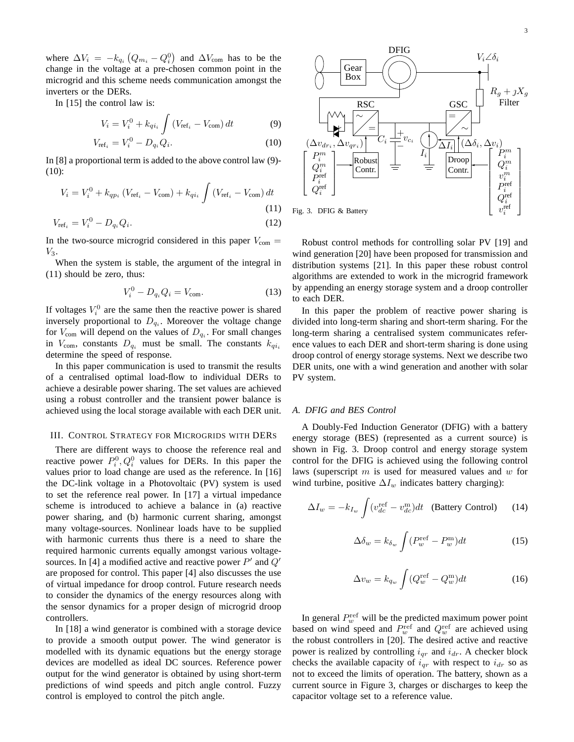where  $\Delta V_i = -k_{q_i} (Q_{m_i} - Q_i^0)$  and  $\Delta V_{\text{com}}$  has to be the change in the voltage at a pre-chosen common point in the microgrid and this scheme needs communication amongst the inverters or the DERs.

In [15] the control law is:

$$
V_i = V_i^0 + k_{qi_i} \int (V_{\text{ref}_i} - V_{\text{com}}) dt
$$
 (9)

$$
V_{\text{ref}_i} = V_i^0 - D_{q_i} Q_i.
$$
 (10)

In [8] a proportional term is added to the above control law (9)- (10):

$$
V_i = V_i^0 + k_{q p_i} (V_{\text{ref}_i} - V_{\text{com}}) + k_{q i_i} \int (V_{\text{ref}_i} - V_{\text{com}}) dt
$$
\n(11)

$$
V_{\text{ref}_i} = V_i^0 - D_{q_i} Q_i. \tag{12}
$$

In the two-source microgrid considered in this paper  $V_{\text{com}} =$  $V_3$ .

When the system is stable, the argument of the integral in (11) should be zero, thus:

$$
V_i^0 - D_{q_i} Q_i = V_{\text{com}}.\t(13)
$$

If voltages  $V_i^0$  are the same then the reactive power is shared inversely proportional to  $D_{q_i}$ . Moreover the voltage change for  $V_{\text{com}}$  will depend on the values of  $D_{q_i}$ . For small changes in  $V_{\text{com}}$ , constants  $D_{q_i}$  must be small. The constants  $k_{q_i}$ determine the speed of response.

In this paper communication is used to transmit the results of a centralised optimal load-flow to individual DERs to achieve a desirable power sharing. The set values are achieved using a robust controller and the transient power balance is achieved using the local storage available with each DER unit.

## III. CONTROL STRATEGY FOR MICROGRIDS WITH DERS

There are different ways to choose the reference real and reactive power  $P_i^0, Q_i^0$  values for DERs. In this paper the values prior to load change are used as the reference. In [16] the DC-link voltage in a Photovoltaic (PV) system is used to set the reference real power. In [17] a virtual impedance scheme is introduced to achieve a balance in (a) reactive power sharing, and (b) harmonic current sharing, amongst many voltage-sources. Nonlinear loads have to be supplied with harmonic currents thus there is a need to share the required harmonic currents equally amongst various voltagesources. In [4] a modified active and reactive power  $P'$  and  $Q'$ are proposed for control. This paper [4] also discusses the use of virtual impedance for droop control. Future research needs to consider the dynamics of the energy resources along with the sensor dynamics for a proper design of microgrid droop controllers.

In [18] a wind generator is combined with a storage device to provide a smooth output power. The wind generator is modelled with its dynamic equations but the energy storage devices are modelled as ideal DC sources. Reference power output for the wind generator is obtained by using short-term predictions of wind speeds and pitch angle control. Fuzzy control is employed to control the pitch angle.



Robust control methods for controlling solar PV [19] and wind generation [20] have been proposed for transmission and distribution systems [21]. In this paper these robust control algorithms are extended to work in the microgrid framework by appending an energy storage system and a droop controller to each DER.

In this paper the problem of reactive power sharing is divided into long-term sharing and short-term sharing. For the long-term sharing a centralised system communicates reference values to each DER and short-term sharing is done using droop control of energy storage systems. Next we describe two DER units, one with a wind generation and another with solar PV system.

#### *A. DFIG and BES Control*

A Doubly-Fed Induction Generator (DFIG) with a battery energy storage (BES) (represented as a current source) is shown in Fig. 3. Droop control and energy storage system control for the DFIG is achieved using the following control laws (superscript  $m$  is used for measured values and  $w$  for wind turbine, positive  $\Delta I_w$  indicates battery charging):

$$
\Delta I_w = -k_{I_w} \int (v_{dc}^{\text{ref}} - v_{dc}^{\text{m}}) dt \quad \text{(Battery Control)} \tag{14}
$$

$$
\Delta \delta_w = k_{\delta_w} \int (P_w^{\text{ref}} - P_w^{\text{m}}) dt \tag{15}
$$

$$
\Delta v_w = k_{q_w} \int (Q_w^{\text{ref}} - Q_w^{\text{m}}) dt \tag{16}
$$

In general  $P_w^{\text{ref}}$  will be the predicted maximum power point based on wind speed and  $P_w^{\text{ref}}$  and  $Q_w^{\text{ref}}$  are achieved using the robust controllers in [20]. The desired active and reactive power is realized by controlling  $i_{qr}$  and  $i_{dr}$ . A checker block checks the available capacity of  $i_{qr}$  with respect to  $i_{dr}$  so as not to exceed the limits of operation. The battery, shown as a current source in Figure 3, charges or discharges to keep the capacitor voltage set to a reference value.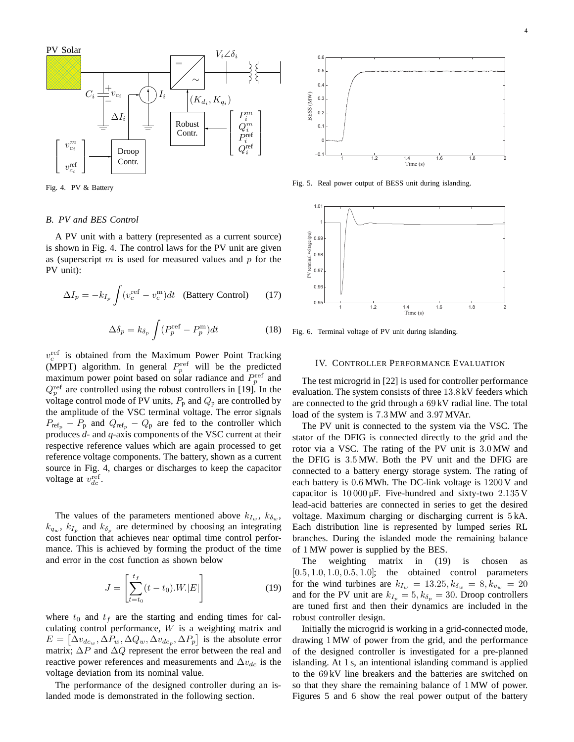



Fig. 4. PV & Battery

#### *B. PV and BES Control*

A PV unit with a battery (represented as a current source) is shown in Fig. 4. The control laws for the PV unit are given as (superscript  $m$  is used for measured values and  $p$  for the PV unit):

$$
\Delta I_p = -k_{I_p} \int (v_c^{\text{ref}} - v_c^{\text{m}}) dt \quad \text{(Battery Control)} \tag{17}
$$

$$
\Delta \delta_p = k_{\delta_p} \int (P_p^{\text{ref}} - P_p^{\text{m}}) dt \tag{18}
$$

 $v_c^{\text{ref}}$  is obtained from the Maximum Power Point Tracking (MPPT) algorithm. In general  $P_p^{\text{ref}}$  will be the predicted maximum power point based on solar radiance and  $P_p^{\text{ref}}$  and  $Q_p^{\text{ref}}$  are controlled using the robust controllers in [19]. In the voltage control mode of PV units,  $P_p$  and  $Q_p$  are controlled by the amplitude of the VSC terminal voltage. The error signals  $P_{\text{ref}_p} - P_{\text{p}}$  and  $Q_{\text{ref}_p} - Q_{\text{p}}$  are fed to the controller which produces *d-* and *q*-axis components of the VSC current at their respective reference values which are again processed to get reference voltage components. The battery, shown as a current source in Fig. 4, charges or discharges to keep the capacitor voltage at  $v_{dc}^{\text{ref}}$ .

The values of the parameters mentioned above  $k_{I_w}$ ,  $k_{\delta_w}$ ,  $k_{q_w}$ ,  $k_{I_p}$  and  $k_{\delta_p}$  are determined by choosing an integrating cost function that achieves near optimal time control performance. This is achieved by forming the product of the time and error in the cost function as shown below

$$
J = \left[\sum_{t=t_0}^{t_f} (t - t_0).W|E|\right]
$$
 (19)

where  $t_0$  and  $t_f$  are the starting and ending times for calculating control performance, W is a weighting matrix and  $E = [\Delta v_{dc_w}, \Delta P_w, \Delta Q_w, \Delta v_{dc_p}, \Delta P_p]$  is the absolute error matrix;  $\Delta P$  and  $\Delta Q$  represent the error between the real and reactive power references and measurements and  $\Delta v_{dc}$  is the voltage deviation from its nominal value.

The performance of the designed controller during an islanded mode is demonstrated in the following section.



Fig. 5. Real power output of BESS unit during islanding.



Fig. 6. Terminal voltage of PV unit during islanding.

#### IV. CONTROLLER PERFORMANCE EVALUATION

The test microgrid in [22] is used for controller performance evaluation. The system consists of three 13.8 kV feeders which are connected to the grid through a 69 kV radial line. The total load of the system is 7.3 MW and 3.97 MVAr.

The PV unit is connected to the system via the VSC. The stator of the DFIG is connected directly to the grid and the rotor via a VSC. The rating of the PV unit is 3.0 MW and the DFIG is 3.5 MW. Both the PV unit and the DFIG are connected to a battery energy storage system. The rating of each battery is 0.6 MWh. The DC-link voltage is 1200 V and capacitor is  $10\,000\,\mu$ F. Five-hundred and sixty-two  $2.135\,\mathrm{V}$ lead-acid batteries are connected in series to get the desired voltage. Maximum charging or discharging current is 5 kA. Each distribution line is represented by lumped series RL branches. During the islanded mode the remaining balance of 1 MW power is supplied by the BES.

The weighting matrix in (19) is chosen as  $[0.5, 1.0, 1.0, 0.5, 1.0]$ ; the obtained control parameters for the wind turbines are  $k_{I_w} = 13.25, k_{\delta_w} = 8, k_{v_w} = 20$ and for the PV unit are  $k_{I_p} = 5, k_{\delta_p} = 30$ . Droop controllers are tuned first and then their dynamics are included in the robust controller design.

Initially the microgrid is working in a grid-connected mode, drawing 1 MW of power from the grid, and the performance of the designed controller is investigated for a pre-planned islanding. At 1 s, an intentional islanding command is applied to the 69 kV line breakers and the batteries are switched on so that they share the remaining balance of 1 MW of power. Figures 5 and 6 show the real power output of the battery